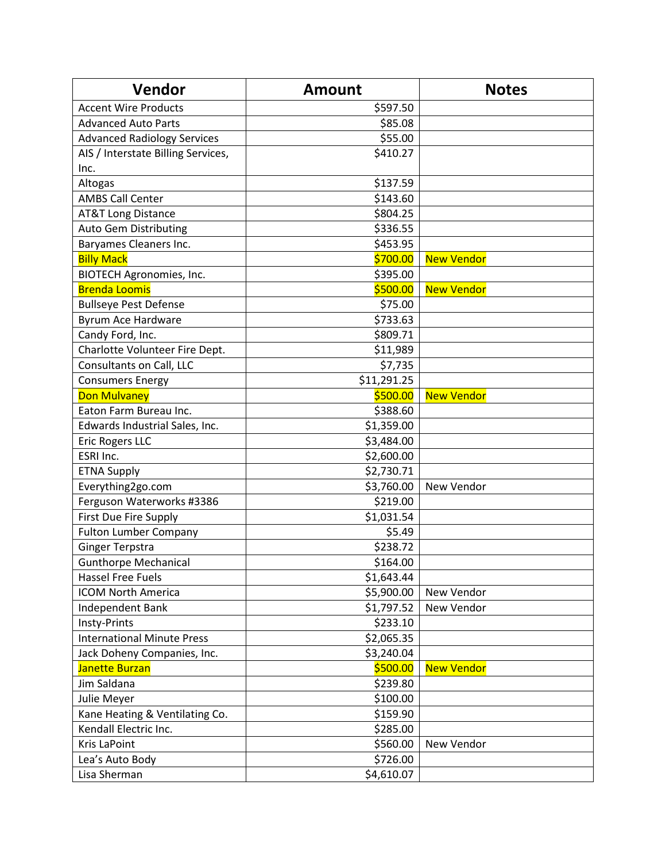| Vendor                             | <b>Amount</b> | <b>Notes</b>      |
|------------------------------------|---------------|-------------------|
| <b>Accent Wire Products</b>        | \$597.50      |                   |
| <b>Advanced Auto Parts</b>         | \$85.08       |                   |
| <b>Advanced Radiology Services</b> | \$55.00       |                   |
| AIS / Interstate Billing Services, | \$410.27      |                   |
| Inc.                               |               |                   |
| Altogas                            | \$137.59      |                   |
| <b>AMBS Call Center</b>            | \$143.60      |                   |
| <b>AT&amp;T Long Distance</b>      | \$804.25      |                   |
| Auto Gem Distributing              | \$336.55      |                   |
| Baryames Cleaners Inc.             | \$453.95      |                   |
| <b>Billy Mack</b>                  | \$700.00      | <b>New Vendor</b> |
| <b>BIOTECH Agronomies, Inc.</b>    | \$395.00      |                   |
| <b>Brenda Loomis</b>               | \$500.00      | <b>New Vendor</b> |
| <b>Bullseye Pest Defense</b>       | \$75.00       |                   |
| Byrum Ace Hardware                 | \$733.63      |                   |
| Candy Ford, Inc.                   | \$809.71      |                   |
| Charlotte Volunteer Fire Dept.     | \$11,989      |                   |
| Consultants on Call, LLC           | \$7,735       |                   |
| <b>Consumers Energy</b>            | \$11,291.25   |                   |
| <b>Don Mulvaney</b>                | \$500.00      | <b>New Vendor</b> |
| Eaton Farm Bureau Inc.             | \$388.60      |                   |
| Edwards Industrial Sales, Inc.     | \$1,359.00    |                   |
| <b>Eric Rogers LLC</b>             | \$3,484.00    |                   |
| ESRI Inc.                          | \$2,600.00    |                   |
| <b>ETNA Supply</b>                 | \$2,730.71    |                   |
| Everything2go.com                  | \$3,760.00    | New Vendor        |
| Ferguson Waterworks #3386          | \$219.00      |                   |
| <b>First Due Fire Supply</b>       | \$1,031.54    |                   |
| <b>Fulton Lumber Company</b>       | \$5.49        |                   |
| <b>Ginger Terpstra</b>             | \$238.72      |                   |
| <b>Gunthorpe Mechanical</b>        | \$164.00      |                   |
| <b>Hassel Free Fuels</b>           | \$1,643.44    |                   |
| <b>ICOM North America</b>          | \$5,900.00    | New Vendor        |
| Independent Bank                   | \$1,797.52    | New Vendor        |
| Insty-Prints                       | \$233.10      |                   |
| <b>International Minute Press</b>  | \$2,065.35    |                   |
| Jack Doheny Companies, Inc.        | \$3,240.04    |                   |
| <b>Janette Burzan</b>              | \$500.00      | <b>New Vendor</b> |
| Jim Saldana                        | \$239.80      |                   |
| Julie Meyer                        | \$100.00      |                   |
| Kane Heating & Ventilating Co.     | \$159.90      |                   |
| Kendall Electric Inc.              | \$285.00      |                   |
| <b>Kris LaPoint</b>                | \$560.00      | New Vendor        |
| Lea's Auto Body                    | \$726.00      |                   |
| Lisa Sherman                       | \$4,610.07    |                   |